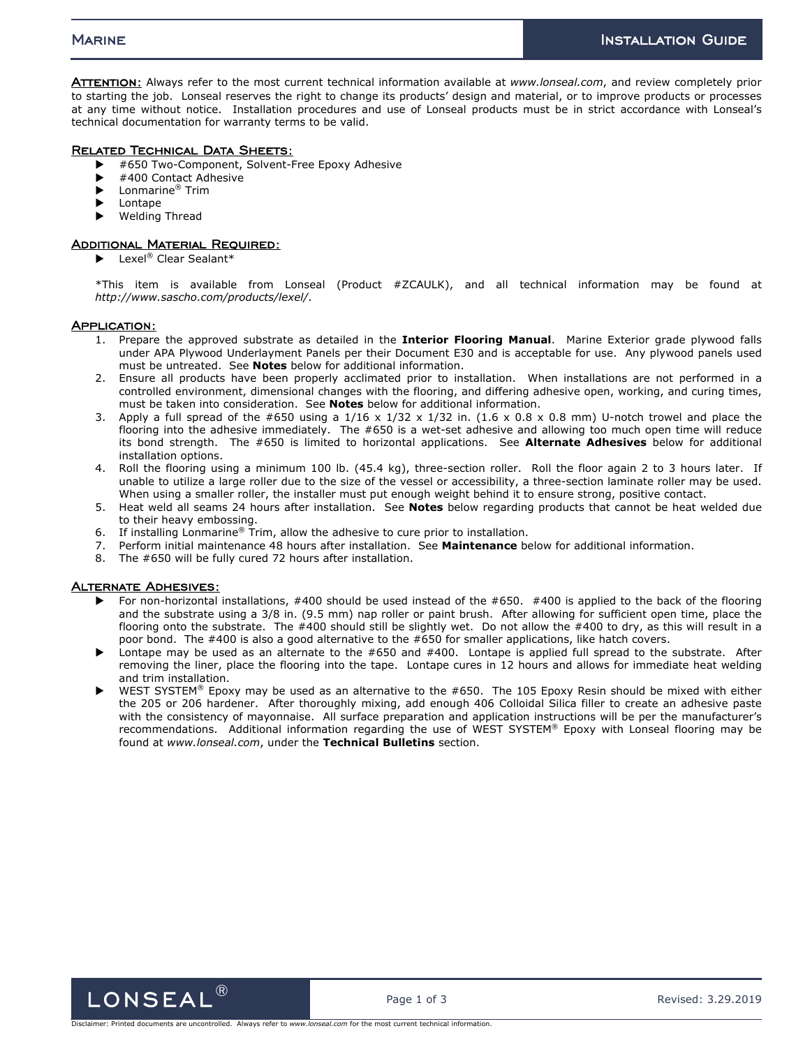ATTENTION: Always refer to the most current technical information available at *www.lonseal.com*, and review completely prior to starting the job. Lonseal reserves the right to change its products' design and material, or to improve products or processes at any time without notice. Installation procedures and use of Lonseal products must be in strict accordance with Lonseal's technical documentation for warranty terms to be valid.

# Related Technical Data Sheets:

- #650 Two-Component, Solvent-Free Epoxy Adhesive
- #400 Contact Adhesive
- ▶ Lonmarine<sup>®</sup> Trim
- **Lontape**
- Welding Thread

# Additional Material Required:

 $\blacktriangleright$  Lexel<sup>®</sup> Clear Sealant\*

\*This item is available from Lonseal (Product #ZCAULK), and all technical information may be found at *http://www.sascho.com/products/lexel/*.

## APPLICATION:

- 1. Prepare the approved substrate as detailed in the **Interior Flooring Manual**. Marine Exterior grade plywood falls under APA Plywood Underlayment Panels per their Document E30 and is acceptable for use. Any plywood panels used must be untreated. See **Notes** below for additional information.
- 2. Ensure all products have been properly acclimated prior to installation. When installations are not performed in a controlled environment, dimensional changes with the flooring, and differing adhesive open, working, and curing times, must be taken into consideration. See **Notes** below for additional information.
- 3. Apply a full spread of the #650 using a  $1/16 \times 1/32 \times 1/32$  in. (1.6 x 0.8 x 0.8 mm) U-notch trowel and place the flooring into the adhesive immediately. The #650 is a wet-set adhesive and allowing too much open time will reduce its bond strength. The #650 is limited to horizontal applications. See **Alternate Adhesives** below for additional installation options.
- 4. Roll the flooring using a minimum 100 lb. (45.4 kg), three-section roller. Roll the floor again 2 to 3 hours later. If unable to utilize a large roller due to the size of the vessel or accessibility, a three-section laminate roller may be used. When using a smaller roller, the installer must put enough weight behind it to ensure strong, positive contact.
- 5. Heat weld all seams 24 hours after installation. See **Notes** below regarding products that cannot be heat welded due to their heavy embossing.
- 6. If installing Lonmarine<sup>®</sup> Trim, allow the adhesive to cure prior to installation.
- 7. Perform initial maintenance 48 hours after installation. See **Maintenance** below for additional information.
- 8. The #650 will be fully cured 72 hours after installation.

## Alternate Adhesives:

- For non-horizontal installations, #400 should be used instead of the #650. #400 is applied to the back of the flooring and the substrate using a 3/8 in. (9.5 mm) nap roller or paint brush. After allowing for sufficient open time, place the flooring onto the substrate. The #400 should still be slightly wet. Do not allow the #400 to dry, as this will result in a poor bond. The #400 is also a good alternative to the #650 for smaller applications, like hatch covers.
- Lontape may be used as an alternate to the #650 and #400. Lontape is applied full spread to the substrate. After removing the liner, place the flooring into the tape. Lontape cures in 12 hours and allows for immediate heat welding and trim installation.
- WEST SYSTEM® Epoxy may be used as an alternative to the #650. The 105 Epoxy Resin should be mixed with either the 205 or 206 hardener. After thoroughly mixing, add enough 406 Colloidal Silica filler to create an adhesive paste with the consistency of mayonnaise. All surface preparation and application instructions will be per the manufacturer's recommendations. Additional information regarding the use of WEST SYSTEM® Epoxy with Lonseal flooring may be found at *www.lonseal.com*, under the **Technical Bulletins** section.

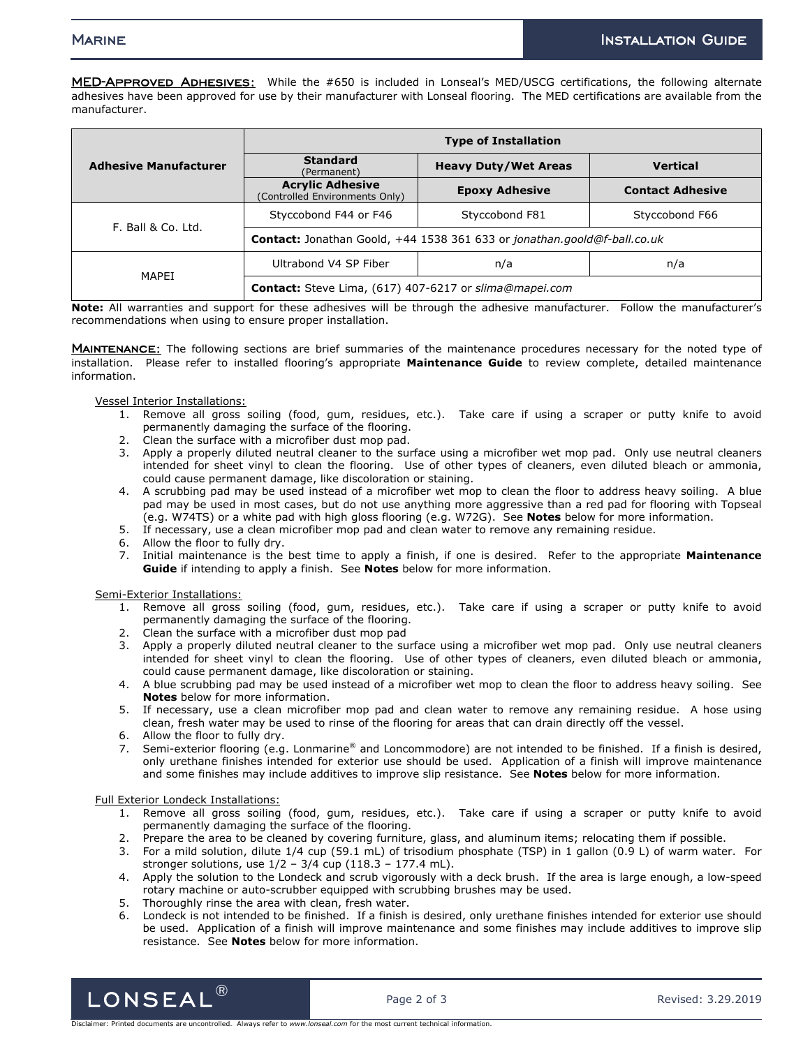MED-APPROVED ADHESIVES: While the #650 is included in Lonseal's MED/USCG certifications, the following alternate adhesives have been approved for use by their manufacturer with Lonseal flooring. The MED certifications are available from the manufacturer.

| <b>Adhesive Manufacturer</b> | <b>Type of Installation</b>                                                     |                             |                         |
|------------------------------|---------------------------------------------------------------------------------|-----------------------------|-------------------------|
|                              | <b>Standard</b><br>(Permanent)                                                  | <b>Heavy Duty/Wet Areas</b> | <b>Vertical</b>         |
|                              | <b>Acrylic Adhesive</b><br>(Controlled Environments Only)                       | <b>Epoxy Adhesive</b>       | <b>Contact Adhesive</b> |
| F. Ball & Co. Ltd.           | Styccobond F44 or F46                                                           | Styccobond F81              | Styccobond F66          |
|                              | <b>Contact:</b> Jonathan Goold, +44 1538 361 633 or jonathan.goold@f-ball.co.uk |                             |                         |
| MAPEI                        | Ultrabond V4 SP Fiber                                                           | n/a                         | n/a                     |
|                              | Contact: Steve Lima, (617) 407-6217 or slima@mapei.com                          |                             |                         |

**Note:** All warranties and support for these adhesives will be through the adhesive manufacturer. Follow the manufacturer's recommendations when using to ensure proper installation.

MAINTENANCE: The following sections are brief summaries of the maintenance procedures necessary for the noted type of installation. Please refer to installed flooring's appropriate **Maintenance Guide** to review complete, detailed maintenance information.

Vessel Interior Installations:

- 1. Remove all gross soiling (food, gum, residues, etc.). Take care if using a scraper or putty knife to avoid permanently damaging the surface of the flooring.
- 2. Clean the surface with a microfiber dust mop pad.
- 3. Apply a properly diluted neutral cleaner to the surface using a microfiber wet mop pad. Only use neutral cleaners intended for sheet vinyl to clean the flooring. Use of other types of cleaners, even diluted bleach or ammonia, could cause permanent damage, like discoloration or staining.
- 4. A scrubbing pad may be used instead of a microfiber wet mop to clean the floor to address heavy soiling. A blue pad may be used in most cases, but do not use anything more aggressive than a red pad for flooring with Topseal (e.g. W74TS) or a white pad with high gloss flooring (e.g. W72G). See **Notes** below for more information.
- 5. If necessary, use a clean microfiber mop pad and clean water to remove any remaining residue.
- 6. Allow the floor to fully dry.
- 7. Initial maintenance is the best time to apply a finish, if one is desired. Refer to the appropriate **Maintenance Guide** if intending to apply a finish. See **Notes** below for more information.

Semi-Exterior Installations:

- 1. Remove all gross soiling (food, gum, residues, etc.). Take care if using a scraper or putty knife to avoid permanently damaging the surface of the flooring.
- 2. Clean the surface with a microfiber dust mop pad
- 3. Apply a properly diluted neutral cleaner to the surface using a microfiber wet mop pad. Only use neutral cleaners intended for sheet vinyl to clean the flooring. Use of other types of cleaners, even diluted bleach or ammonia, could cause permanent damage, like discoloration or staining.
- 4. A blue scrubbing pad may be used instead of a microfiber wet mop to clean the floor to address heavy soiling. See **Notes** below for more information.
- 5. If necessary, use a clean microfiber mop pad and clean water to remove any remaining residue. A hose using clean, fresh water may be used to rinse of the flooring for areas that can drain directly off the vessel.
- 6. Allow the floor to fully dry.
- 7. Semi-exterior flooring (e.g. Lonmarine® and Loncommodore) are not intended to be finished. If a finish is desired, only urethane finishes intended for exterior use should be used. Application of a finish will improve maintenance and some finishes may include additives to improve slip resistance. See **Notes** below for more information.

Full Exterior Londeck Installations:

- 1. Remove all gross soiling (food, gum, residues, etc.). Take care if using a scraper or putty knife to avoid permanently damaging the surface of the flooring.
- 2. Prepare the area to be cleaned by covering furniture, glass, and aluminum items; relocating them if possible.
- 3. For a mild solution, dilute 1/4 cup (59.1 mL) of trisodium phosphate (TSP) in 1 gallon (0.9 L) of warm water. For stronger solutions, use 1/2 – 3/4 cup (118.3 – 177.4 mL).
- 4. Apply the solution to the Londeck and scrub vigorously with a deck brush. If the area is large enough, a low-speed rotary machine or auto-scrubber equipped with scrubbing brushes may be used.
- 5. Thoroughly rinse the area with clean, fresh water.
- 6. Londeck is not intended to be finished. If a finish is desired, only urethane finishes intended for exterior use should be used. Application of a finish will improve maintenance and some finishes may include additives to improve slip resistance. See **Notes** below for more information.